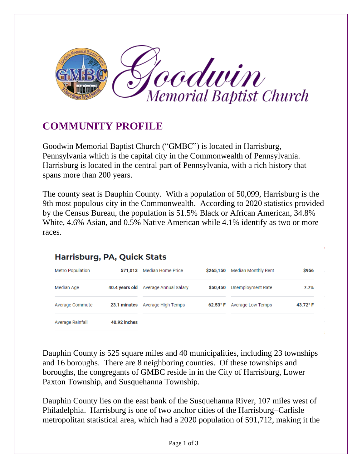

## **COMMUNITY PROFILE**

Goodwin Memorial Baptist Church ("GMBC") is located in Harrisburg, Pennsylvania which is the capital city in the Commonwealth of Pennsylvania. Harrisburg is located in the central part of Pennsylvania, with a rich history that spans more than 200 years.

The county seat is Dauphin County. With a population of 50,099, Harrisburg is the 9th most populous city in the Commonwealth. According to 2020 statistics provided by the Census Bureau, the population is 51.5% Black or African American, 34.8% White, 4.6% Asian, and 0.5% Native American while 4.1% identify as two or more races.

## **Harrisburg, PA, Quick Stats**

| <b>Metro Population</b> | 571.013      | <b>Median Home Price</b>             | \$265.150          | Median Monthly Rent | \$956    |
|-------------------------|--------------|--------------------------------------|--------------------|---------------------|----------|
| Median Age              |              | 40.4 years old Average Annual Salary | \$50,450           | Unemployment Rate   | 7.7%     |
| Average Commute         |              | 23.1 minutes Average High Temps      | 62.53 $^{\circ}$ F | Average Low Temps   | 43.72° F |
| Average Rainfall        | 40.92 inches |                                      |                    |                     |          |

Dauphin County is 525 square miles and 40 municipalities, including 23 townships and 16 boroughs. There are 8 neighboring counties. Of these townships and boroughs, the congregants of GMBC reside in in the City of Harrisburg, Lower Paxton Township, and Susquehanna Township.

Dauphin County lies on the east bank of the Susquehanna River, 107 miles west of Philadelphia. Harrisburg is one of two anchor cities of the Harrisburg–Carlisle metropolitan statistical area, which had a 2020 population of 591,712, making it the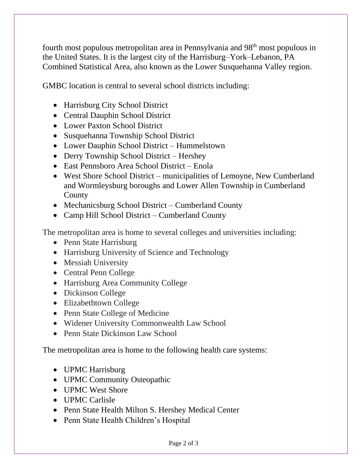fourth most populous metropolitan area in Pennsylvania and 98<sup>th</sup> most populous in the United States. It is the largest city of the Harrisburg–York–Lebanon, PA Combined Statistical Area, also known as the Lower Susquehanna Valley region.

GMBC location is central to several school districts including:

- Harrisburg City School District
- Central Dauphin School District
- Lower Paxton School District
- Susquehanna Township School District
- Lower Dauphin School District Hummelstown
- Derry Township School District Hershey
- East Pennsboro Area School District Enola
- West Shore School District municipalities of Lemoyne, New Cumberland and Wormleysburg boroughs and Lower Allen Township in Cumberland County
- Mechanicsburg School District Cumberland County
- Camp Hill School District Cumberland County

The metropolitan area is home to several colleges and universities including:

- Penn State Harrisburg
- Harrisburg University of Science and Technology
- Messiah University
- Central Penn College
- Harrisburg Area Community College
- Dickinson College
- Elizabethtown College
- Penn State College of Medicine
- Widener University Commonwealth Law School
- Penn State Dickinson Law School

The metropolitan area is home to the following health care systems:

- UPMC Harrisburg
- UPMC Community Osteopathic
- UPMC West Shore
- UPMC Carlisle
- Penn State Health Milton S. Hershey Medical Center
- Penn State Health Children's Hospital